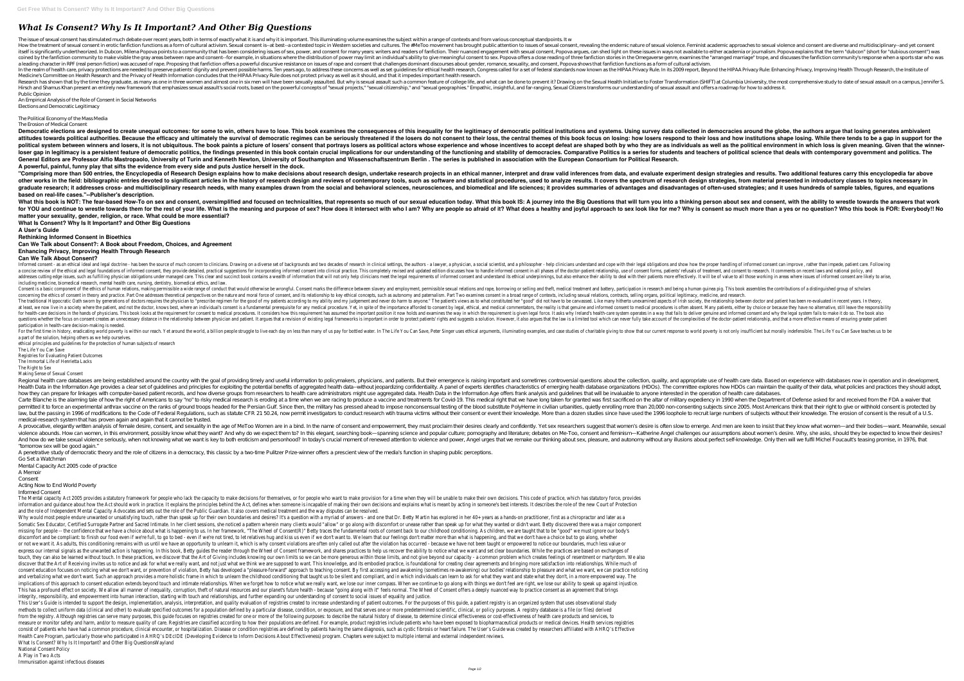# *What Is Consent? Why Is It Important? And Other Big Questions*

The issue of sexual consent has stimulated much debate over recent years, both in terms of exactly what it is and why it is important. This illuminating volume examines the subject within a range of contexts and from vario How the treatment of sexual consent in erotic fanfiction functions as a form of cultural activism. Sexual consent is--at best--a contested topic in Western societies and cultures. The #MeToo movement has brought public att itself is significantly undertheorized. In Dubcon, Milena Popova points to a community that has been considering issues of sex, power, and consent for many years: writers and readers of fanfiction. Their nuanced engagement coined by the fanfiction community to make visible the gray areas between rape and consent--for example, in situations where the distribution of power may limit an individual's ability to give meaningful consent to sex. Po a leading character in RPF (real person fiction) was accused of rape. Proposing that fanfiction offers a powerful discursive resistance on issues of rape and consent that challenges dominant discourses about gender, romanc In the realm of health care, privacy protections are needed to preserve patients' dignity and prevent possible harms. Ten years ago, to address these concerns as well as set quidelines for ethical health research, Congress Medicine's Committee on Health Research and the Privacy of Health Information concludes that the HIPAA Privacy Rule does not protect privacy as well as it should, and that it impedes important health research. Besearch has shown that by the time they graduate, as many as one in three women and almost one in six men will have been sexual lealth Initiative to Foster Transformation (SHIFT) at Columbia University, the most comprehen Hirsch and Shamus Khan present an entirely new framework that emphasizes sexual assault's social roots, based on the powerful concepts of "sexual projects," "sexual Citizenship," and "sexual Geographies." Empathic, insight Public Opinion

Democratic elections are designed to create unequal outcomes: for some to win, others have to lose. This book examines the consequences of this inequality for the legitimacy of democratic political institutions and systems attitudes towards political authorities. Because the efficacy and ultimately the survival of democratic regimes can be seriously threatened if the losers respond to their loss and how institutions shape losing. While there political system between winners and losers, it is not ubiquitous. The book paints a picture of losers' consent that portrays losers as political actors whose incentives to accept defeat are shaped both by who they are as loser gap in legitimacy is a persistent feature of democratic politics, the findings presented in this book contain crucial implications for our understanding of the functioning and stability of democracies. Comparative Po General Editors are Professor Alfio Mastropaolo, University of Turin and Kenneth Newton, University of Southampton and Wissenschaftszentrum Berlin. The series is published in association with the European Consortium for Po **A powerful, painful, funny play that sifts the evidence from every side and puts Justice herself in the dock.**

"Comprising more than 500 entries, the Encyclopedia of Research Design explains how to make decisions about research design, undertake research projects in an ethical manner, interpret and draw valid inferences from data, other works in the field: bibliographic entries devoted to significant articles in the history of research design and reviews of contemporary tools, such as software and statistical procedures, used to analyze results. It graduate research; it addresses cross- and multidisciplinary research needs, with many examples drawn from the social and behavioral sciences, neurosciences; it provides summaries of advantages and disadvantages of often-u **based on real-life cases."--Publisher's description.**

An Empirical Analysis of the Role of Consent in Social Networks Elections and Democratic Legitimacy

The Political Economy of the Mass Media

#### The Erosion of Medical Consent

What this book is NOT: The fear-based How-To on sex and consent, oversimplified and focused on technicalities, that represents so much of our sexual education today. What this book IS: A journey into a thinking person abou for YOU and continue to wrestle towards them for the rest of your life. What is the meaning and purpose of sex? How does it intersect with who I am? Why are people so afraid of it? What does a healthy and joyful approach t **matter your sexuality, gender, religion, or race. What could be more essential?**

Informed consent - as an ethical ideal and legal doctrine - has been the source of much concern to clinicians. Drawing on a diverse set of backgrounds and two decades of research in clinical settings, the authors - a lawye a concise review of the ethical and legal foundations of informed consent, they provide detailed, practical suggestions for incorporating informed consent forms, patients' refusals of treatment, and consent to research. It addresses cutting edge issues, such as fulfilling physician obligations under managed care. This clear and succinct book contains a wealth of information that will not only help clinicians meet the legal requirements of in including medicine, biomedical research, mental health care, nursing, dentistry, biomedical ethics, and law.

Consent is a basic component of the ethics of human relations, making permissible a wide range of conduct that would otherwise be wrongful. Consent marks the difference between slavery and employment, permissible sexual re concerning the ethics of consent in theory and practice. Part One addresses theoretical perspectives on the nature and moral force of consent, and its relationship to key ethical concepts, such as autonomy and paternalism. The traditional Hippocratic Oath sworn by generations of doctors requires the physician to "prescribe regimen for the good of my patients according to my ability and my judgement and never do harm to anyone." The patient's at least, we now live in a society where the patient, and not the doctor, knows best, where an individual's consent is a fundamental prerequisite for any medical procedures is often absent. Many patients, either by choice for health-care decisions in the hands of physicians. This book looks at the requirement for consent to medical procedures. It considers how this requirement is given legal force. It asks why Ireland's health-care system o questions whether the focus on consent creates an unnecessary distance in the relationship between physician and patient. It arques that the law is a limited tool which can never fully take account of the complexities of t participation in health-care decision-making is needed.

For the first time in history, eradicating world poverty is within our reach. Yet around the world, a billion people struggle to live each day on less than many of us pay for bottled water. In The Life You Can Save, Peter a part of the solution, helping others as we help ourselves.

**What Is Consent? Why Is It Important? and Other Big Questions**

**A User's Guide**

**Rethinking Informed Consent in Bioethics**

**Can We Talk about Consent?: A Book about Freedom, Choices, and Agreement**

### **Enhancing Privacy, Improving Health Through Research**

Regional health care databases are being established around the country with the goal of providing timely and useful information to policymakers, physicians, and patients. But their emergence is raising important and somet Health Data in the Information Age provides a clear set of quidelines and principles for exploiting the potential benefits of aggregated health data--without jeopardizing confidentiality. A panel of experts identifies char how they can prepare for linkages with computer-based patient records, and how diverse groups from researchers to health care administrators might use aggregated data. Health Data in the Information Age offers frank analys Carte Blanche is the alarming tale of how the right of Americans to say "no" to risky medical research is eroding at a time when we are racing to produce a vaccine and treatments for Covid-19. This medical right that we ha permitted it to force an experimental anthrax vaccine on the ranks of ground troops headed for the Persian Gulf. Since then, the military has pressed ahead to impose nonconsenting subjects since 2005. Most Americans think law, but the passing in 1996 of modifications to the Code of Federal Regulations, such as statute CFR 21 50.24, now permit investigators to conduct research with trauma victims without their consent or event their knowledg medical-research system that has proven again and again that it cannot be trusted.

#### **Can We Talk About Consent?**

A provocative, elegantly written analysis of female desire, consent, and sexuality in the age of MeToo Women are in a bind. In the name of consent and empowerment, they must proclaim their desires clearly and confidently. violence abounds. How can women, in this environment, possibly know what they want? And why do we expect them to? In this elegant, searching book—spanning science and popular culture; pornography and literature; debates on And how do we take sexual violence seriously, when not knowing what we want is key to both eroticism and personhood? In today's crucial moment of renewed attention to violence and power, Angel urges that we remake our thin "tomorrow sex will be good again."

The Mental capacity Act 2005 provides a statutory framework for people who lack the capacity to make decisions for themselves, or for people who want to make provision for a time when they will be unable to make their own information and guidance about how the Act should work in practice. It explains the principles behind the Act, defines when someone is incapable of making their own decisions and explains what is meant by acting in someone and the role of Independent Mental Capacity Advocates and sets out the role of the Public Guardian. It also covers medical treatment and the way disputes can be resolved. Why would most people endure unwanted or unsatisfying touch, rather than speak up for their own boundaries and desires? It's a question with a myriad of answers - and one that Dr. Betty Martin has explored in her 40+ years Somatic Sex Educator, Certified Surrogate Partner and Sacred Intimate. In her client sessions, she noticed a pattern wherein many clients would "allow" or go along with discomfort or unease rather than speak up for what th missing for people -- the confidence that we have a choice about what is happening to us. In her framework, "The Wheel of Consent (R)" Betty traces the fundamental roots of consent back to our childhood conditioning. As ch discomfort and be compliant: to finish our food even if we're full, to go to bed - even if we're not tired, to let relatives hug and kiss us even if we don't matter more than what is happening, and that we don't have a cho or not we want it. As adults, this conditioning remains with us until we have an opportunity to unlearn it, which is why consent violation has occurred - because we have not been taught or empowered to notice our boundarie express our internal signals as the unwanted action is happening. In this book, Betty guides the reader through the Wheel of Consent framework, and shares practice what we want and set clear boundaries. While the practices touch, they can also be learned without touch. In these practices, we discover that the Art of Giving includes knowing our own limits so we can be more generous within those limits, and not give beyond our capacity - a com discover that the Art of Receiving invites us to notice and ask for what we really want, and not just what we think we are supposed to want. This knowledge, and its embodied practice, is foundational for creating clear agr consent education focuses on noticing what we don't want, or prevention of violation, Betty has developed a "pleasure-forward" approach to teaching consent. By first accessing and awakening (sometimes re-awakening) our bod and verbalizing what we don't want. Such an approach provides a more holistic frame in which to unlearn the childhood conditioning that taught us to be silent and compliant, and in which individuals can learn to ask for wh implications of this approach to consent education extends beyond touch and intimate relationships. When we forget how to notice what we really want, we lose our inner compass. When we continue to go along with things we d This has a profound effect on society. We allow all manner of inequality, corruption, theft of natural resources and our planet's future health - because "going along with it" feels normal. The Wheel of Consent offers a de integrity, responsibility, and empowerment into human interaction, starting with touch and relationships, and further expanding our understanding of consent to social issues of equality and justice. This User's Guide is intended to support the design, implementation, analysis, interpretation, and quality evaluation of registries created to increase understanding of patient outcomes. For the purposes of this guide, a p methods to collect uniform data (clinical and other) to evaluate specified outcomes for a population defined by a particular disease, condition, or exposure, and that serves one or more predetermined scientific, clinical, from the registry. Although registries can serve many purposes, this guide focuses on registries created for one or more of the following purposes: to describe the natural history of disease, to determine clinical effectiv measure or monitor safety and harm, and/or to measure quality of care. Registries are classified according to how their populations are defined. For example, product registries include patients who have been exposed to bio consist of patients who have had a common procedure, clinical encounter, or hospitalization. Disease or condition registries are defined by patients having the same diagnosis, such as cystic fibrosis or heart failure. The Health Care Program, particularly those who participated in AHRQ's DEcIDE (Developing Evidence to Inform Decisions About Effectiveness) program. Chapters were subject to multiple internal and external independent reviews. What Is Consent? Why Is It Important? and Other Big QuestionsWayland National Consent Policy

ethical principles and guidelines for the protection of human subjects of research

The Life You Can Save

Registries for Evaluating Patient Outcomes

The Immortal Life of Henrietta Lacks The Right to Sex

#### Making Sense of Sexual Consent

A penetrative study of democratic theory and the role of citizens in a democracy, this classic by a two-time Pulitzer Prize-winner offers a prescient view of the media's function in shaping public perceptions. Go Set a Watchman

Mental Capacity Act 2005 code of practice

A Memoir

Consent

Acting Now to End World Poverty

Informed Consent

A Play in Two Acts

Immunisation against infectious diseases